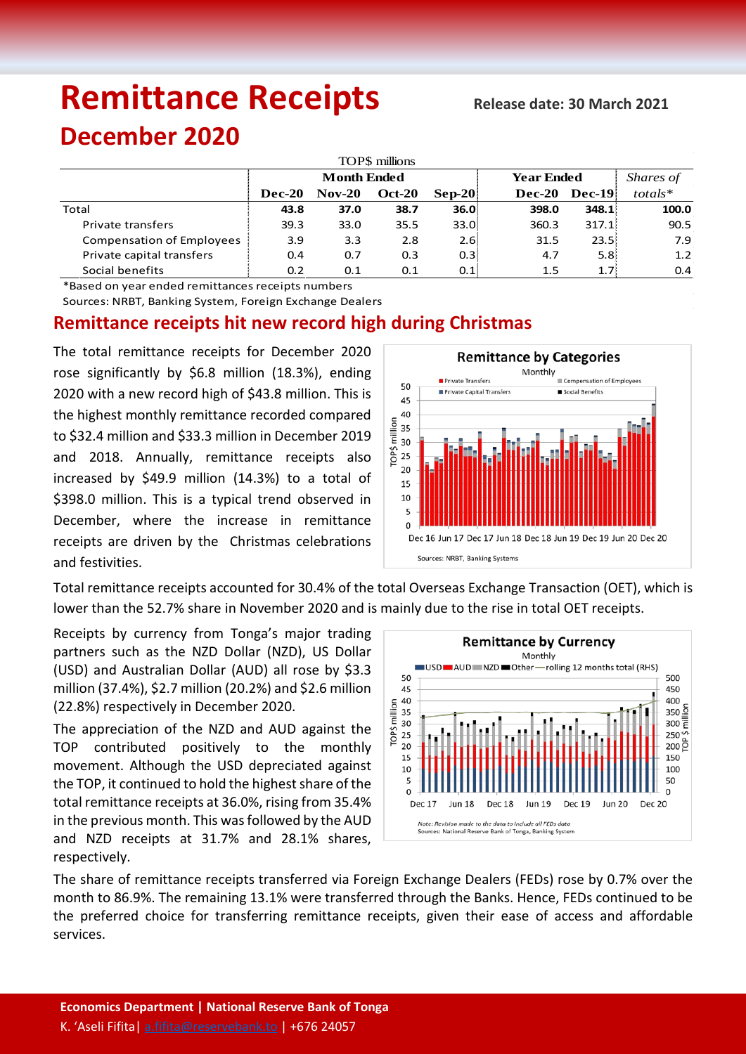# Remittance Receipts Release date: 30 March 2021

## **December 2020**

| TOP\$ millions            |                    |          |               |                   |                   |          |            |  |  |  |  |
|---------------------------|--------------------|----------|---------------|-------------------|-------------------|----------|------------|--|--|--|--|
|                           | <b>Month Ended</b> |          |               |                   | <b>Year Ended</b> |          | Shares of  |  |  |  |  |
|                           | <b>Dec-20</b>      | $Nov-20$ | <b>Oct-20</b> | $\bf Sep-20$      | $Dec-20$          | $Dec-19$ | $totals^*$ |  |  |  |  |
| Total                     | 43.8               | 37.0     | 38.7          | 36.0 <sup>1</sup> | 398.0             | 348.1    | 100.0      |  |  |  |  |
| <b>Private transfers</b>  | 39.3               | 33.0     | 35.5          | 33.0:             | 360.3             | 317.1:   | 90.5       |  |  |  |  |
| Compensation of Employees | 3.9                | 3.3      | 2.8           | 2.6:              | 31.5              | 23.5:    | 7.9        |  |  |  |  |
| Private capital transfers | 0.4                | 0.7      | 0.3           | 0.3 <sup>1</sup>  | 4.7               | 5.8:     | 1.2        |  |  |  |  |
| Social benefits           | 0.2                | 0.1      | 0.1           | 0.1               | 1.5               | 1.7:     | 0.4        |  |  |  |  |

\*Based on year ended remittances receipts numbers

Sources: NRBT, Banking System, Foreign Exchange Dealers

### **Remittance receipts hit new record high during Christmas**

The total remittance receipts for December 2020 rose significantly by \$6.8 million (18.3%), ending 2020 with a new record high of \$43.8 million. This is the highest monthly remittance recorded compared to \$32.4 million and \$33.3 million in December 2019 and 2018. Annually, remittance receipts also increased by \$49.9 million (14.3%) to a total of \$398.0 million. This is a typical trend observed in December, where the increase in remittance receipts are driven by the Christmas celebrations and festivities.



Total remittance receipts accounted for 30.4% of the total Overseas Exchange Transaction (OET), which is lower than the 52.7% share in November 2020 and is mainly due to the rise in total OET receipts.

Receipts by currency from Tonga's major trading partners such as the NZD Dollar (NZD), US Dollar (USD) and Australian Dollar (AUD) all rose by \$3.3 million (37.4%), \$2.7 million (20.2%) and \$2.6 million (22.8%) respectively in December 2020.

The appreciation of the NZD and AUD against the TOP contributed positively to the monthly movement. Although the USD depreciated against the TOP, it continued to hold the highest share of the total remittance receipts at 36.0%, rising from 35.4% in the previous month. This was followed by the AUD and NZD receipts at 31.7% and 28.1% shares, respectively.



The share of remittance receipts transferred via Foreign Exchange Dealers (FEDs) rose by 0.7% over the month to 86.9%. The remaining 13.1% were transferred through the Banks. Hence, FEDs continued to be the preferred choice for transferring remittance receipts, given their ease of access and affordable services.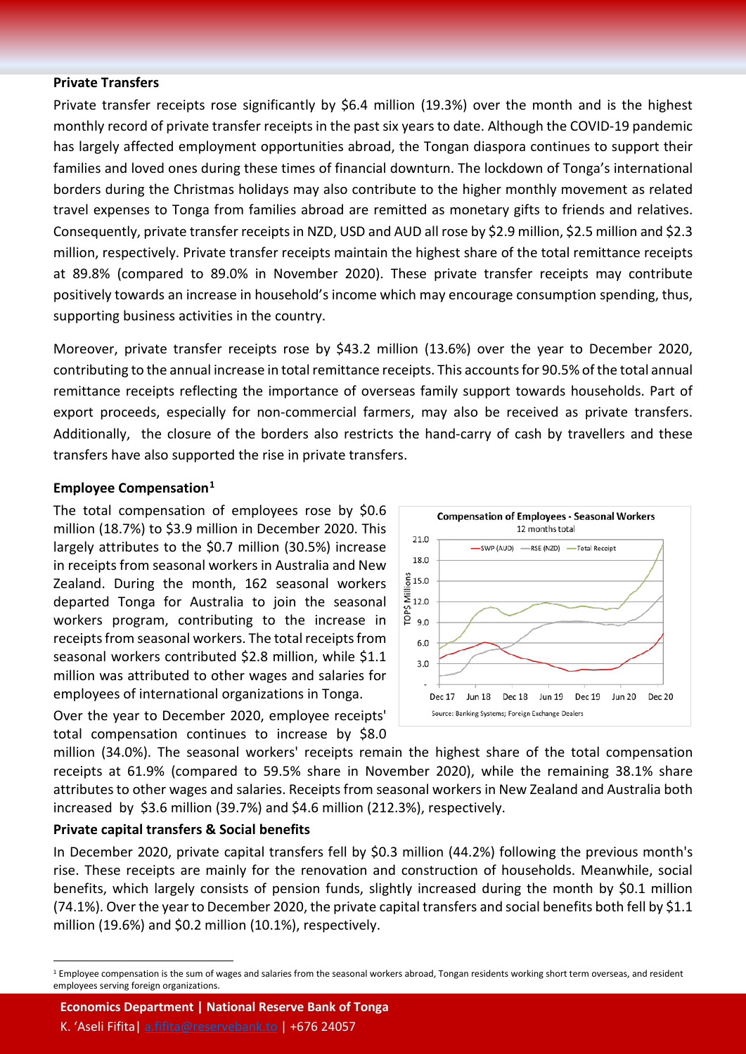#### **Private Transfers**

Private transfer receipts rose significantly by \$6.4 million (19.3%) over the month and is the highest monthly record of private transfer receipts in the past six years to date. Although the COVID-19 pandemic has largely affected employment opportunities abroad, the Tongan diaspora continues to support their families and loved ones during these times of financial downturn. The lockdown of Tonga's international borders during the Christmas holidays may also contribute to the higher monthly movement as related travel expenses to Tonga from families abroad are remitted as monetary gifts to friends and relatives. Consequently, private transfer receipts in NZD, USD and AUD all rose by \$2.9 million, \$2.5 million and \$2.3 million, respectively. Private transfer receipts maintain the highest share of the total remittance receipts at 89.8% (compared to 89.0% in November 2020). These private transfer receipts may contribute positively towards an increase in household's income which may encourage consumption spending, thus, supporting business activities in the country.

Moreover, private transfer receipts rose by \$43.2 million (13.6%) over the year to December 2020, contributing to the annual increase in total remittance receipts. This accounts for 90.5% of the total annual remittance receipts reflecting the importance of overseas family support towards households. Part of export proceeds, especially for non-commercial farmers, may also be received as private transfers. Additionally, the closure of the borders also restricts the hand-carry of cash by travellers and these transfers have also supported the rise in private transfers.

21.0

18.0

#### **Employee Compensation[1](#page-1-0)**

The total compensation of employees rose by \$0.6 million (18.7%) to \$3.9 million in December 2020. This largely attributes to the \$0.7 million (30.5%) increase in receipts from seasonal workers in Australia and New Zealand. During the month, 162 seasonal workers departed Tonga for Australia to join the seasonal workers program, contributing to the increase in receipts from seasonal workers. The total receipts from seasonal workers contributed \$2.8 million, while \$1.1 million was attributed to other wages and salaries for employees of international organizations in Tonga.



**Compensation of Employees - Seasonal Workers** 12 months total

-SWP (AUD) - RSE (NZD) - Total Receipt

Over the year to December 2020, employee receipts' total compensation continues to increase by \$8.0

million (34.0%). The seasonal workers' receipts remain the highest share of the total compensation receipts at 61.9% (compared to 59.5% share in November 2020), while the remaining 38.1% share attributes to other wages and salaries. Receipts from seasonal workers in New Zealand and Australia both increased by \$3.6 million (39.7%) and \$4.6 million (212.3%), respectively.

#### **Private capital transfers & Social benefits**

In December 2020, private capital transfers fell by \$0.3 million (44.2%) following the previous month's rise. These receipts are mainly for the renovation and construction of households. Meanwhile, social benefits, which largely consists of pension funds, slightly increased during the month by \$0.1 million (74.1%). Over the year to December 2020, the private capital transfers and social benefits both fell by \$1.1 million (19.6%) and \$0.2 million (10.1%), respectively.

**Economics Department | National Reserve Bank of Tonga**

K. 'Aseli Fifita| [a.fifita@reservebank.to](mailto:a.fifita@reservebank.to) | +676 24057

<span id="page-1-0"></span><sup>&</sup>lt;sup>1</sup> Employee compensation is the sum of wages and salaries from the seasonal workers abroad, Tongan residents working short term overseas, and resident employees serving foreign organizations.